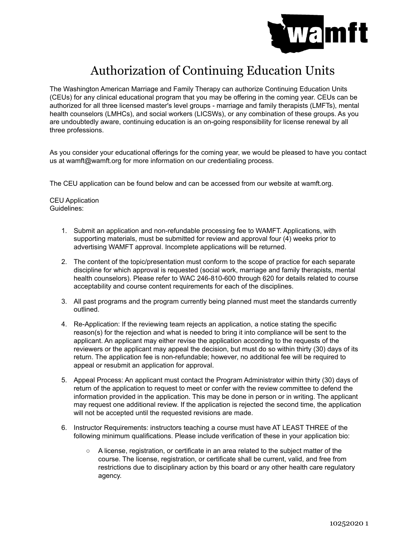

# Authorization of Continuing Education Units

The Washington American Marriage and Family Therapy can authorize Continuing Education Units (CEUs) for any clinical educational program that you may be offering in the coming year. CEUs can be authorized for all three licensed master's level groups - marriage and family therapists (LMFTs), mental health counselors (LMHCs), and social workers (LICSWs), or any combination of these groups. As you are undoubtedly aware, continuing education is an on-going responsibility for license renewal by all three professions.

As you consider your educational offerings for the coming year, we would be pleased to have you contact us at wamft@wamft.org for more information on our credentialing process.

The CEU application can be found below and can be accessed from our website at wamft.org.

CEU Application Guidelines:

- 1. Submit an application and non-refundable processing fee to WAMFT. Applications, with supporting materials, must be submitted for review and approval four (4) weeks prior to advertising WAMFT approval. Incomplete applications will be returned.
- 2. The content of the topic/presentation must conform to the scope of practice for each separate discipline for which approval is requested (social work, marriage and family therapists, mental health counselors). Please refer to WAC 246-810-600 through 620 for details related to course acceptability and course content requirements for each of the disciplines.
- 3. All past programs and the program currently being planned must meet the standards currently outlined.
- 4. Re-Application: If the reviewing team rejects an application, a notice stating the specific reason(s) for the rejection and what is needed to bring it into compliance will be sent to the applicant. An applicant may either revise the application according to the requests of the reviewers or the applicant may appeal the decision, but must do so within thirty (30) days of its return. The application fee is non-refundable; however, no additional fee will be required to appeal or resubmit an application for approval.
- 5. Appeal Process: An applicant must contact the Program Administrator within thirty (30) days of return of the application to request to meet or confer with the review committee to defend the information provided in the application. This may be done in person or in writing. The applicant may request one additional review. If the application is rejected the second time, the application will not be accepted until the requested revisions are made.
- 6. Instructor Requirements: instructors teaching a course must have AT LEAST THREE of the following minimum qualifications. Please include verification of these in your application bio:
	- A license, registration, or certificate in an area related to the subject matter of the course. The license, registration, or certificate shall be current, valid, and free from restrictions due to disciplinary action by this board or any other health care regulatory agency.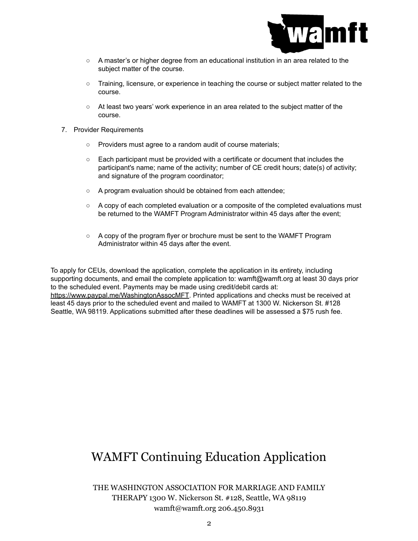

- A master's or higher degree from an educational institution in an area related to the subject matter of the course.
- Training, licensure, or experience in teaching the course or subject matter related to the course.
- At least two years' work experience in an area related to the subject matter of the course.
- 7. Provider Requirements
	- Providers must agree to a random audit of course materials;
	- Each participant must be provided with a certificate or document that includes the participant's name; name of the activity; number of CE credit hours; date(s) of activity; and signature of the program coordinator;
	- A program evaluation should be obtained from each attendee;
	- $\circ$  A copy of each completed evaluation or a composite of the completed evaluations must be returned to the WAMFT Program Administrator within 45 days after the event;
	- A copy of the program flyer or brochure must be sent to the WAMFT Program Administrator within 45 days after the event.

To apply for CEUs, download the application, complete the application in its entirety, including supporting documents, and email the complete application to: wamft@wamft.org at least 30 days prior to the scheduled event. Payments may be made using credit/debit cards at: <https://www.paypal.me/WashingtonAssocMFT>. Printed applications and checks must be received at least 45 days prior to the scheduled event and mailed to WAMFT at 1300 W. Nickerson St. #128 Seattle, WA 98119. Applications submitted after these deadlines will be assessed a \$75 rush fee.

## WAMFT Continuing Education Application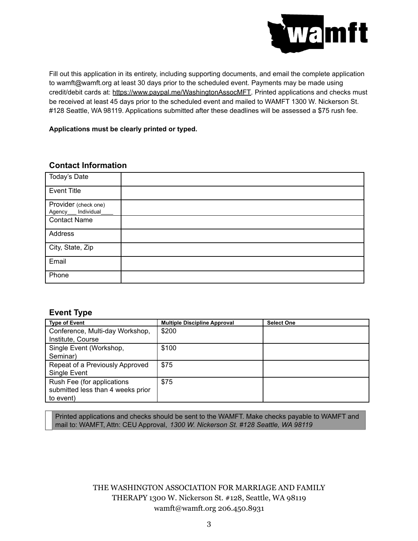

Fill out this application in its entirety, including supporting documents, and email the complete application to wamft@wamft.org at least 30 days prior to the scheduled event. Payments may be made using credit/debit cards at: [https://www.paypal.me/WashingtonAssocMFT.](https://www.paypal.me/WashingtonAssocMFT) Printed applications and checks must be received at least 45 days prior to the scheduled event and mailed to WAMFT 1300 W. Nickerson St. #128 Seattle, WA 98119. Applications submitted after these deadlines will be assessed a \$75 rush fee.

**Applications must be clearly printed or typed.**

## **Contact Information**

| Today's Date                               |  |
|--------------------------------------------|--|
| <b>Event Title</b>                         |  |
| Provider (check one)<br>Agency__individual |  |
| <b>Contact Name</b>                        |  |
| Address                                    |  |
| City, State, Zip                           |  |
| Email                                      |  |
| Phone                                      |  |

## **Event Type**

| <b>Type of Event</b>              | <b>Multiple Discipline Approval</b> | <b>Select One</b> |
|-----------------------------------|-------------------------------------|-------------------|
| Conference, Multi-day Workshop,   | \$200                               |                   |
| Institute, Course                 |                                     |                   |
| Single Event (Workshop,           | \$100                               |                   |
| Seminar)                          |                                     |                   |
| Repeat of a Previously Approved   | \$75                                |                   |
| Single Event                      |                                     |                   |
| Rush Fee (for applications        | \$75                                |                   |
| submitted less than 4 weeks prior |                                     |                   |
| to event)                         |                                     |                   |

Printed applications and checks should be sent to the WAMFT. Make checks payable to WAMFT and mail to: WAMFT, Attn: CEU Approval, *1300 W. Nickerson St. #128 Seattle, WA 98119*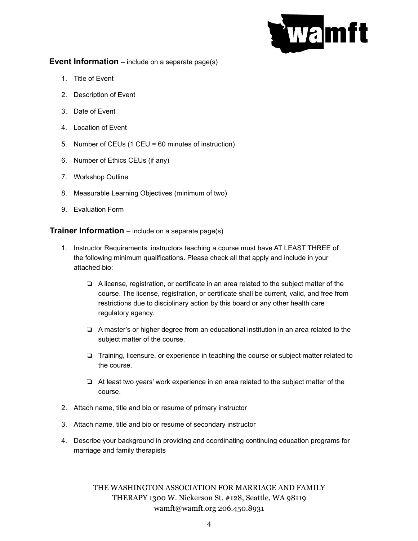

#### **Event Information** – include on a separate page(s)

- 1. Title of Event
- 2. Description of Event
- 3. Date of Event
- 4. Location of Event
- 5. Number of CEUs (1 CEU = 60 minutes of instruction)
- 6. Number of Ethics CEUs (if any)
- 7. Workshop Outline
- 8. Measurable Learning Objectives (minimum of two)
- 9. Evaluation Form

#### **Trainer Information** – include on a separate page(s)

- 1. Instructor Requirements: instructors teaching a course must have AT LEAST THREE of the following minimum qualifications. Please check all that apply and include in your attached bio:
	- ❏ A license, registration, or certificate in an area related to the subject matter of the course. The license, registration, or certificate shall be current, valid, and free from restrictions due to disciplinary action by this board or any other health care regulatory agency.
	- ❏ A master's or higher degree from an educational institution in an area related to the subject matter of the course.
	- ❏ Training, licensure, or experience in teaching the course or subject matter related to the course.
	- ❏ At least two years' work experience in an area related to the subject matter of the course.
- 2. Attach name, title and bio or resume of primary instructor
- 3. Attach name, title and bio or resume of secondary instructor
- 4. Describe your background in providing and coordinating continuing education programs for marriage and family therapists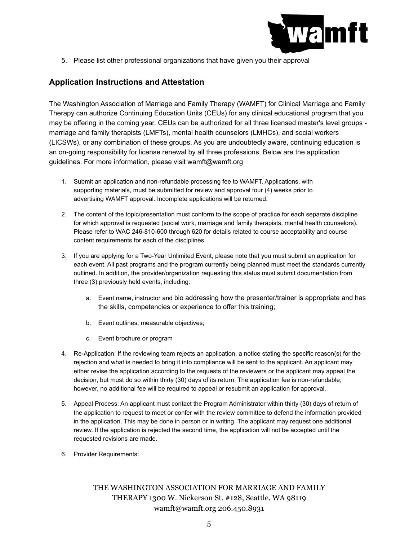

5. Please list other professional organizations that have given you their approval

### **Application Instructions and Attestation**

The Washington Association of Marriage and Family Therapy (WAMFT) for Clinical Marriage and Family Therapy can authorize Continuing Education Units (CEUs) for any clinical educational program that you may be offering in the coming year. CEUs can be authorized for all three licensed master's level groups marriage and family therapists (LMFTs), mental health counselors (LMHCs), and social workers (LICSWs), or any combination of these groups. As you are undoubtedly aware, continuing education is an on-going responsibility for license renewal by all three professions. Below are the application guidelines. For more information, please visit wamft@wamft.org

- 1. Submit an application and non-refundable processing fee to WAMFT. Applications, with supporting materials, must be submitted for review and approval four (4) weeks prior to advertising WAMFT approval. Incomplete applications will be returned.
- 2. The content of the topic/presentation must conform to the scope of practice for each separate discipline for which approval is requested (social work, marriage and family therapists, mental health counselors). Please refer to WAC 246-810-600 through 620 for details related to course acceptability and course content requirements for each of the disciplines.
- 3. If you are applying for a Two-Year Unlimited Event, please note that you must submit an application for each event. All past programs and the program currently being planned must meet the standards currently outlined. In addition, the provider/organization requesting this status must submit documentation from three (3) previously held events, including:
	- a. Event name, instructor and bio addressing how the presenter/trainer is appropriate and has the skills, competencies or experience to offer this training;
	- b. Event outlines, measurable objectives;
	- c. Event brochure or program
- 4. Re-Application: If the reviewing team rejects an application, a notice stating the specific reason(s) for the rejection and what is needed to bring it into compliance will be sent to the applicant. An applicant may either revise the application according to the requests of the reviewers or the applicant may appeal the decision, but must do so within thirty (30) days of its return. The application fee is non-refundable; however, no additional fee will be required to appeal or resubmit an application for approval.
- 5. Appeal Process: An applicant must contact the Program Administrator within thirty (30) days of return of the application to request to meet or confer with the review committee to defend the information provided in the application. This may be done in person or in writing. The applicant may request one additional review. If the application is rejected the second time, the application will not be accepted until the requested revisions are made.
- 6. Provider Requirements: